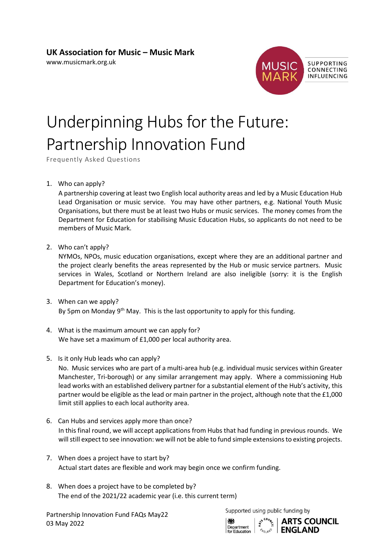## **UK Association for Music – Music Mark**

[www.musicmark.org.uk](https://www.musicmark.org.uk/)



## Underpinning Hubs for the Future: Partnership Innovation Fund

Frequently Asked Questions

1. Who can apply?

A partnership covering at least two English local authority areas and led by a Music Education Hub Lead Organisation or music service. You may have other partners, e.g. National Youth Music Organisations, but there must be at least two Hubs or music services. The money comes from the Department for Education for stabilising Music Education Hubs, so applicants do not need to be members of Music Mark.

2. Who can't apply?

NYMOs, NPOs, music education organisations, except where they are an additional partner and the project clearly benefits the areas represented by the Hub or music service partners. Music services in Wales, Scotland or Northern Ireland are also ineligible (sorry: it is the English Department for Education's money).

- 3. When can we apply? By 5pm on Monday  $9<sup>th</sup>$  May. This is the last opportunity to apply for this funding.
- 4. What is the maximum amount we can apply for? We have set a maximum of £1,000 per local authority area.
- 5. Is it only Hub leads who can apply?

No. Music services who are part of a multi-area hub (e.g. individual music services within Greater Manchester, Tri-borough) or any similar arrangement may apply. Where a commissioning Hub lead works with an established delivery partner for a substantial element of the Hub's activity, this partner would be eligible as the lead or main partner in the project, although note that the £1,000 limit still applies to each local authority area.

- 6. Can Hubs and services apply more than once? In this final round, we will accept applications from Hubs that had funding in previous rounds. We will still expect to see innovation: we will not be able to fund simple extensions to existing projects.
- 7. When does a project have to start by? Actual start dates are flexible and work may begin once we confirm funding.
- 8. When does a project have to be completed by? The end of the 2021/22 academic year (i.e. this current term)

Partnership Innovation Fund FAQs May22 03 May 2022

Supported using public funding by